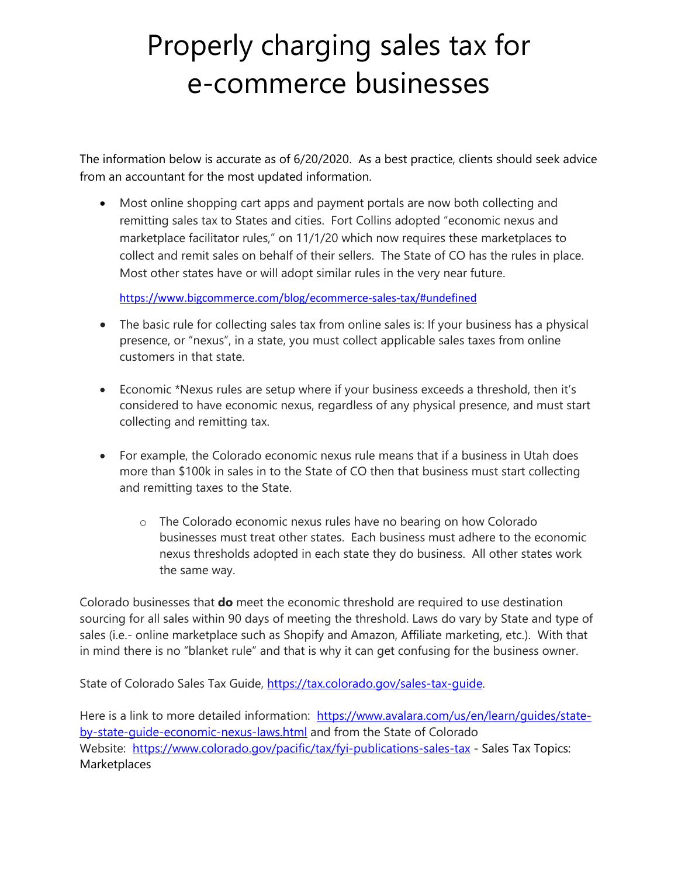## Properly charging sales tax for e-commerce businesses

The information below is accurate as of 6/20/2020. As a best practice, clients should seek advice from an accountant for the most updated information.

• Most online shopping cart apps and payment portals are now both collecting and remitting sales tax to States and cities. Fort Collins adopted "economic nexus and marketplace facilitator rules," on 11/1/20 which now requires these marketplaces to collect and remit sales on behalf of their sellers. The State of CO has the rules in place. Most other states have or will adopt similar rules in the very near future.

<https://www.bigcommerce.com/blog/ecommerce-sales-tax/#undefined>

- The basic rule for collecting sales tax from online sales is: If your business has a physical presence, or "nexus", in a state, you must collect applicable sales taxes from online customers in that state.
- Economic \*Nexus rules are setup where if your business exceeds a threshold, then it's considered to have economic nexus, regardless of any physical presence, and must start collecting and remitting tax.
- For example, the Colorado economic nexus rule means that if a business in Utah does more than \$100k in sales in to the State of CO then that business must start collecting and remitting taxes to the State.
	- o The Colorado economic nexus rules have no bearing on how Colorado businesses must treat other states. Each business must adhere to the economic nexus thresholds adopted in each state they do business. All other states work the same way.

Colorado businesses that **do** meet the economic threshold are required to use destination sourcing for all sales within 90 days of meeting the threshold. Laws do vary by State and type of sales (i.e.- online marketplace such as Shopify and Amazon, Affiliate marketing, etc.). With that in mind there is no "blanket rule" and that is why it can get confusing for the business owner.

State of Colorado Sales Tax Guide, [https://tax.colorado.gov/sales-tax-guide.](https://tax.colorado.gov/sales-tax-guide)

Here is a link to more detailed information: [https://www.avalara.com/us/en/learn/guides/state](https://www.avalara.com/us/en/learn/guides/state-by-state-guide-economic-nexus-laws.html)[by-state-guide-economic-nexus-laws.html](https://www.avalara.com/us/en/learn/guides/state-by-state-guide-economic-nexus-laws.html) and from the State of Colorado Website: <https://www.colorado.gov/pacific/tax/fyi-publications-sales-tax> - Sales Tax Topics: Marketplaces